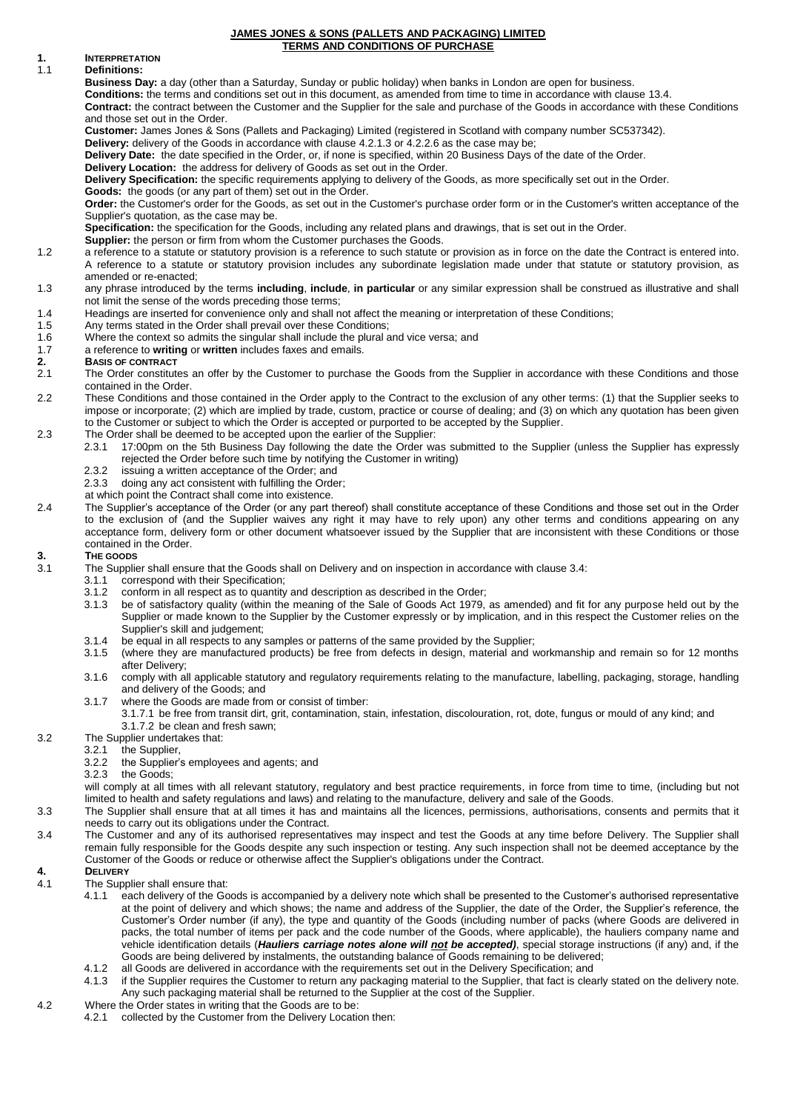#### **JAMES JONES & SONS (PALLETS AND PACKAGING) LIMITED TERMS AND CONDITIONS OF PURCHASE**

### **1. INTERPRETATION**

### 1.1 **Definitions:**

**Business Day:** a day (other than a Saturday, Sunday or public holiday) when banks in London are open for business.

**Conditions:** the terms and conditions set out in this document, as amended from time to time in accordance with clause 13.4.

**Contract:** the contract between the Customer and the Supplier for the sale and purchase of the Goods in accordance with these Conditions and those set out in the Order.

**Customer:** James Jones & Sons (Pallets and Packaging) Limited (registered in Scotland with company number SC537342).

**Delivery:** delivery of the Goods in accordance with clause 4.2.1.3 or 4.2.2.6 as the case may be; **Delivery Date:** the date specified in the Order, or, if none is specified, within 20 Business Days of the date of the Order.

**Delivery Location:** the address for delivery of Goods as set out in the Order.

**Delivery Specification:** the specific requirements applying to delivery of the Goods, as more specifically set out in the Order.

**Goods:** the goods (or any part of them) set out in the Order.

**Order:** the Customer's order for the Goods, as set out in the Customer's purchase order form or in the Customer's written acceptance of the Supplier's quotation, as the case may be.

**Specification:** the specification for the Goods, including any related plans and drawings, that is set out in the Order.

**Supplier:** the person or firm from whom the Customer purchases the Goods.

- 1.2 a reference to a statute or statutory provision is a reference to such statute or provision as in force on the date the Contract is entered into. A reference to a statute or statutory provision includes any subordinate legislation made under that statute or statutory provision, as amended or re-enacted;
- 1.3 any phrase introduced by the terms **including**, **include**, **in particular** or any similar expression shall be construed as illustrative and shall not limit the sense of the words preceding those terms;
- 1.4 Headings are inserted for convenience only and shall not affect the meaning or interpretation of these Conditions;<br>1.5 Any terms stated in the Order shall prevail over these Conditions;
- 1.5 Any terms stated in the Order shall prevail over these Conditions;<br>1.6 Where the context so admits the singular shall include the plural a Where the context so admits the singular shall include the plural and vice versa; and
- 1.7 a reference to **writing** or **written** includes faxes and emails.

- **2. BASIS OF CONTRACT** The Order constitutes an offer by the Customer to purchase the Goods from the Supplier in accordance with these Conditions and those contained in the Order.
- 2.2 These Conditions and those contained in the Order apply to the Contract to the exclusion of any other terms: (1) that the Supplier seeks to impose or incorporate; (2) which are implied by trade, custom, practice or course of dealing; and (3) on which any quotation has been given to the Customer or subject to which the Order is accepted or purported to be accepted by the Supplier.
- 2.3 The Order shall be deemed to be accepted upon the earlier of the Supplier:
	- 2.3.1 17:00pm on the 5th Business Day following the date the Order was submitted to the Supplier (unless the Supplier has expressly rejected the Order before such time by notifying the Customer in writing)
	- 2.3.2 issuing a written acceptance of the Order; and 2.3.3 doing any act consistent with fulfilling the Orde
	- doing any act consistent with fulfilling the Order;
	- at which point the Contract shall come into existence.
- 2.4 The Supplier's acceptance of the Order (or any part thereof) shall constitute acceptance of these Conditions and those set out in the Order to the exclusion of (and the Supplier waives any right it may have to rely upon) any other terms and conditions appearing on any acceptance form, delivery form or other document whatsoever issued by the Supplier that are inconsistent with these Conditions or those contained in the Order.

# <span id="page-0-0"></span>**3. THE GOODS**<br> **3.1 The Supplie**

- 3.1 The Supplier shall ensure that the Goods shall on Delivery and on inspection in accordance with clause 3.4:
- 3.1.1 correspond with their Specification;
	- 3.1.2 conform in all respect as to quantity and description as described in the Order;<br>3.1.3 be of satisfactory quality (within the meaning of the Sale of Goods Act 1979.
	- be of satisfactory quality (within the meaning of the Sale of Goods Act 1979, as amended) and fit for any purpose held out by the Supplier or made known to the Supplier by the Customer expressly or by implication, and in this respect the Customer relies on the Supplier's skill and judgement;
	- 3.1.4 be equal in all respects to any samples or patterns of the same provided by the Supplier;
	- 3.1.5 (where they are manufactured products) be free from defects in design, material and workmanship and remain so for 12 months after Delivery;
	- 3.1.6 comply with all applicable statutory and regulatory requirements relating to the manufacture, labelling, packaging, storage, handling and delivery of the Goods; and
	- 3.1.7 where the Goods are made from or consist of timber:
		- 3.1.7.1 be free from transit dirt, grit, contamination, stain, infestation, discolouration, rot, dote, fungus or mould of any kind; and 3.1.7.2 be clean and fresh sawn;
- 3.2 The Supplier undertakes that:
	- - 3.2.1 the Supplier,<br>3.2.2 the Supplier' 3.2.2 the Supplier's employees and agents; and
		- the Goods;

will comply at all times with all relevant statutory, regulatory and best practice requirements, in force from time to time, (including but not limited to health and safety regulations and laws) and relating to the manufacture, delivery and sale of the Goods.

- 3.3 The Supplier shall ensure that at all times it has and maintains all the licences, permissions, authorisations, consents and permits that it needs to carry out its obligations under the Contract.
- 3.4 The Customer and any of its authorised representatives may inspect and test the Goods at any time before Delivery. The Supplier shall remain fully responsible for the Goods despite any such inspection or testing. Any such inspection shall not be deemed acceptance by the Customer of the Goods or reduce or otherwise affect the Supplier's obligations under the Contract.

#### **4. DELIVERY**

- 4.1 The Supplier shall ensure that:
	- 4.1.1 each delivery of the Goods is accompanied by a delivery note which shall be presented to the Customer's authorised representative at the point of delivery and which shows; the name and address of the Supplier, the date of the Order, the Supplier's reference, the Customer's Order number (if any), the type and quantity of the Goods (including number of packs (where Goods are delivered in packs, the total number of items per pack and the code number of the Goods, where applicable), the hauliers company name and vehicle identification details (*Hauliers carriage notes alone will not be accepted)*, special storage instructions (if any) and, if the Goods are being delivered by instalments, the outstanding balance of Goods remaining to be delivered;
	-
	- 4.1.2 all Goods are delivered in accordance with the requirements set out in the Delivery Specification; and 4.1.3 if the Supplier requires the Customer to return any packaging material to the Supplier, that fact is clea if the Supplier requires the Customer to return any packaging material to the Supplier, that fact is clearly stated on the delivery note. Any such packaging material shall be returned to the Supplier at the cost of the Supplier.
- 4.2 Where the Order states in writing that the Goods are to be:
	- 4.2.1 collected by the Customer from the Delivery Location then: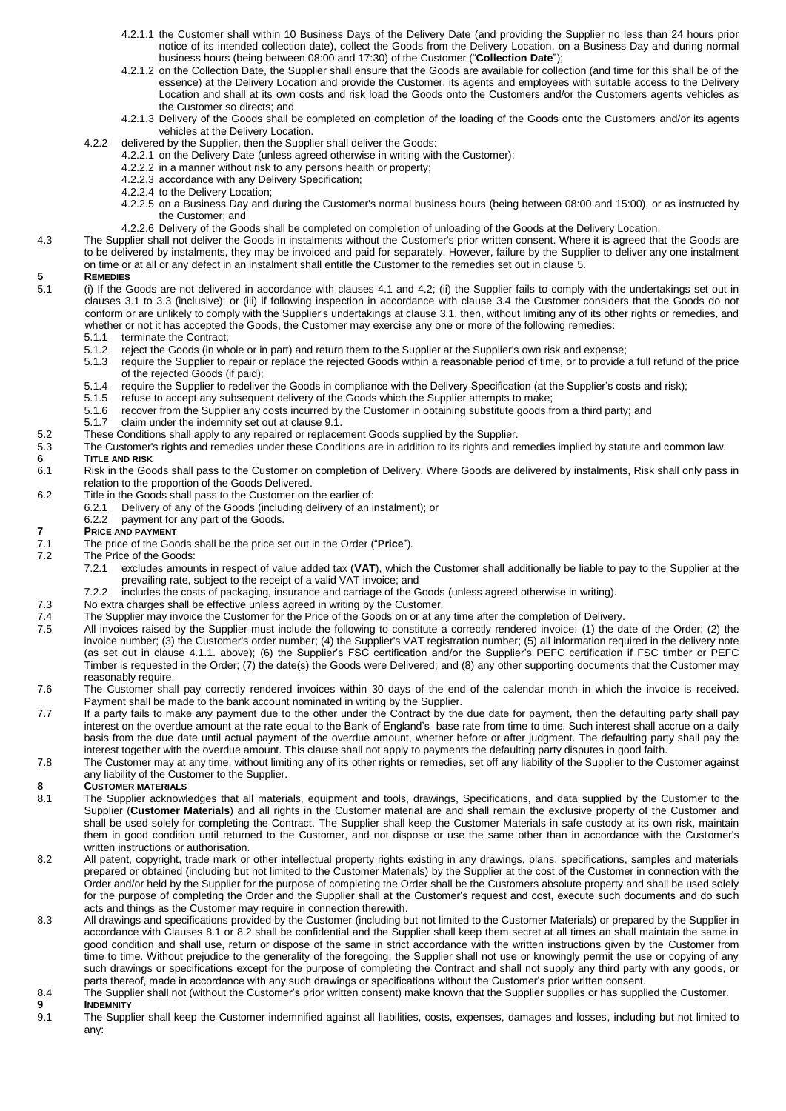- 4.2.1.1 the Customer shall within 10 Business Days of the Delivery Date (and providing the Supplier no less than 24 hours prior notice of its intended collection date), collect the Goods from the Delivery Location, on a Business Day and during normal business hours (being between 08:00 and 17:30) of the Customer ("**Collection Date**");
- 4.2.1.2 on the Collection Date, the Supplier shall ensure that the Goods are available for collection (and time for this shall be of the essence) at the Delivery Location and provide the Customer, its agents and employees with suitable access to the Delivery Location and shall at its own costs and risk load the Goods onto the Customers and/or the Customers agents vehicles as the Customer so directs; and
- 4.2.1.3 Delivery of the Goods shall be completed on completion of the loading of the Goods onto the Customers and/or its agents vehicles at the Delivery Location.
- 4.2.2 delivered by the Supplier, then the Supplier shall deliver the Goods:
	- 4.2.2.1 on the Delivery Date (unless agreed otherwise in writing with the Customer);
	- 4.2.2.2 in a manner without risk to any persons health or property;
	- 4.2.2.3 accordance with any Delivery Specification;
	- 4.2.2.4 to the Delivery Location;
	- 4.2.2.5 on a Business Day and during the Customer's normal business hours (being between 08:00 and 15:00), or as instructed by the Customer; and
		- 4.2.2.6 Delivery of the Goods shall be completed on completion of unloading of the Goods at the Delivery Location.
- 4.3 The Supplier shall not deliver the Goods in instalments without the Customer's prior written consent. Where it is agreed that the Goods are to be delivered by instalments, they may be invoiced and paid for separately. However, failure by the Supplier to deliver any one instalment on time or at all or any defect in an instalment shall entitle the Customer to the remedies set out in clause [5.](#page-1-0)

- <span id="page-1-0"></span>**5 REMEDIES** 5.1 (i) If the Goods are not delivered in accordance with clauses 4.1 and 4.2; (ii) the Supplier fails to comply with the undertakings set out in clauses 3.1 to 3.3 (inclusive); or (iii) if following inspection in accordance with clause 3.4 the Customer considers that the Goods do not conform or are unlikely to comply with the Supplier's undertakings at clause [3.1,](#page-0-0) then, without limiting any of its other rights or remedies, and whether or not it has accepted the Goods, the Customer may exercise any one or more of the following remedies:<br>5.1.1 terminate the Contract;
	- terminate the Contract;
	- 5.1.2 reject the Goods (in whole or in part) and return them to the Supplier at the Supplier's own risk and expense;<br>5.1.3 require the Supplier to repair or replace the rejected Goods within a reasonable period of time, or
	- 5.1.3 require the Supplier to repair or replace the rejected Goods within a reasonable period of time, or to provide a full refund of the price of the rejected Goods (if paid);
	- 5.1.4 require the Supplier to redeliver the Goods in compliance with the Delivery Specification (at the Supplier's costs and risk);<br>5.1.5 refuse to accept any subsequent delivery of the Goods which the Supplier attempts to
	-
	- 5.1.5 refuse to accept any subsequent delivery of the Goods which the Supplier attempts to make;<br>5.1.6 recover from the Supplier any costs incurred by the Customer in obtaining substitute goods fi 5.1.6 recover from the Supplier any costs incurred by the Customer in obtaining substitute goods from a third party; and<br>5.1.7 claim under the indemnity set out at clause 9.1.
	- claim under the indemnity set out at clause 9.1.
- 5.2 These Conditions shall apply to any repaired or replacement Goods supplied by the Supplier.
- 5.3 The Customer's rights and remedies under these Conditions are in addition to its rights and remedies implied by statute and common law.<br>6 TITLE AND RISK

## **6 TITLE AND RISK**

- Risk in the Goods shall pass to the Customer on completion of Delivery. Where Goods are delivered by instalments, Risk shall only pass in relation to the proportion of the Goods Delivered.
- 6.2 Title in the Goods shall pass to the Customer on the earlier of:<br>6.2.1 Delivery of any of the Goods (including delivery of an i
	- Delivery of any of the Goods (including delivery of an instalment); or
	- 6.2.2 payment for any part of the Goods.

# **7 PRICE AND PAYMENT**

- 7.1 The price of the Goods shall be the price set out in the Order ("**Price**").
- The Price of the Goods:
	- 7.2.1 excludes amounts in respect of value added tax (**VAT**), which the Customer shall additionally be liable to pay to the Supplier at the prevailing rate, subject to the receipt of a valid VAT invoice; and
	- 7.2.2 includes the costs of packaging, insurance and carriage of the Goods (unless agreed otherwise in writing).
- 7.3 No extra charges shall be effective unless agreed in writing by the Customer.
- 7.4 The Supplier may invoice the Customer for the Price of the Goods on or at any time after the completion of Delivery.<br>7.5 All invoices raised by the Supplier must include the following to constitute a correctly rendered
- All invoices raised by the Supplier must include the following to constitute a correctly rendered invoice: (1) the date of the Order; (2) the invoice number; (3) the Customer's order number; (4) the Supplier's VAT registration number; (5) all information required in the delivery note (as set out in clause 4.1.1. above); (6) the Supplier's FSC certification and/or the Supplier's PEFC certification if FSC timber or PEFC Timber is requested in the Order; (7) the date(s) the Goods were Delivered; and (8) any other supporting documents that the Customer may reasonably require.
- 7.6 The Customer shall pay correctly rendered invoices within 30 days of the end of the calendar month in which the invoice is received. Payment shall be made to the bank account nominated in writing by the Supplier.
- 7.7 If a party fails to make any payment due to the other under the Contract by the due date for payment, then the defaulting party shall pay interest on the overdue amount at the rate equal to the Bank of England's base rate from time to time. Such interest shall accrue on a daily basis from the due date until actual payment of the overdue amount, whether before or after judgment. The defaulting party shall pay the interest together with the overdue amount. This clause shall not apply to payments the defaulting party disputes in good faith.
- 7.8 The Customer may at any time, without limiting any of its other rights or remedies, set off any liability of the Supplier to the Customer against any liability of the Customer to the Supplier.

## **8 CUSTOMER MATERIALS**<br>8.1 **The Supplier acknowl**

- The Supplier acknowledges that all materials, equipment and tools, drawings, Specifications, and data supplied by the Customer to the Supplier (**Customer Materials**) and all rights in the Customer material are and shall remain the exclusive property of the Customer and shall be used solely for completing the Contract. The Supplier shall keep the Customer Materials in safe custody at its own risk, maintain them in good condition until returned to the Customer, and not dispose or use the same other than in accordance with the Customer's written instructions or authorisation.
- 8.2 All patent, copyright, trade mark or other intellectual property rights existing in any drawings, plans, specifications, samples and materials prepared or obtained (including but not limited to the Customer Materials) by the Supplier at the cost of the Customer in connection with the Order and/or held by the Supplier for the purpose of completing the Order shall be the Customers absolute property and shall be used solely for the purpose of completing the Order and the Supplier shall at the Customer's request and cost, execute such documents and do such acts and things as the Customer may require in connection therewith.
- 8.3 All drawings and specifications provided by the Customer (including but not limited to the Customer Materials) or prepared by the Supplier in accordance with Clauses 8.1 or 8.2 shall be confidential and the Supplier shall keep them secret at all times an shall maintain the same in good condition and shall use, return or dispose of the same in strict accordance with the written instructions given by the Customer from time to time. Without prejudice to the generality of the foregoing, the Supplier shall not use or knowingly permit the use or copying of any such drawings or specifications except for the purpose of completing the Contract and shall not supply any third party with any goods, or parts thereof, made in accordance with any such drawings or specifications without the Customer's prior written consent.
- 8.4 The Supplier shall not (without the Customer's prior written consent) make known that the Supplier supplies or has supplied the Customer. **9 INDEMNITY**
- <span id="page-1-1"></span>9.1 The Supplier shall keep the Customer indemnified against all liabilities, costs, expenses, damages and losses, including but not limited to any: